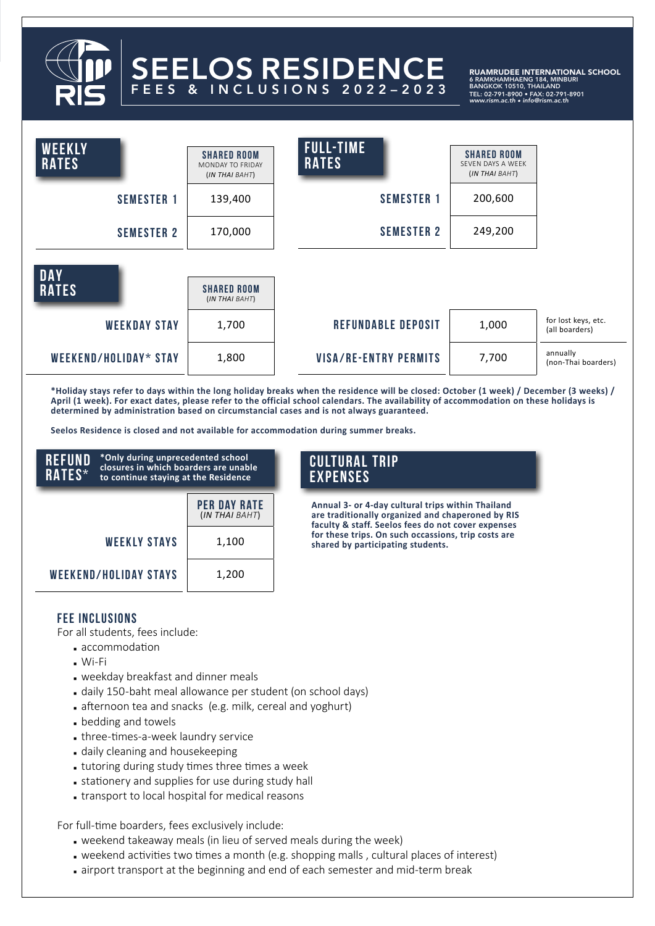# SEELOS RESIDENCE FEES & INCLUSIONS 2022–2023

RUAMRUDEE INTERNATIONAL SCHOOL 6 RAMKHAMHAENG 184, MINBURI<br>BANGKOK 10510, THAILAND<br>TEL: 02-791-8900 • FAX: 02-791-8901<br>www.rism.ac.th • info@rism.ac.th

| <b>WEEKLY</b><br><b>RATES</b> | <b>SHARED ROOM</b><br>MONDAY TO FRIDAY<br>(IN THAI BAHT) | <b>FULL-TIME</b><br><b>RATES</b> | <b><i>SHARED ROOM</i></b><br>SEVEN DAYS A WEEK<br>(IN THAI BAHT) |                                       |
|-------------------------------|----------------------------------------------------------|----------------------------------|------------------------------------------------------------------|---------------------------------------|
| <b>SEMESTER 1</b>             | 139,400                                                  | <b>SEMESTER 1</b>                | 200,600                                                          |                                       |
| <b>SEMESTER 2</b>             | 170,000                                                  | <b>SEMESTER 2</b>                | 249,200                                                          |                                       |
| <b>DAY</b><br><b>RATES</b>    | <b><i>SHARED ROOM</i></b><br>(IN THAI BAHT)              |                                  |                                                                  |                                       |
| <b>WEEKDAY STAY</b>           | 1,700                                                    | <b>REFUNDABLE DEPOSIT</b>        | 1,000                                                            | for lost keys, etc.<br>(all boarders) |
| WEEKEND/HOLIDAY* STAY         | 1,800                                                    | <b>VISA/RE-ENTRY PERMITS</b>     | 7,700                                                            | annually<br>(non-Thai boarders)       |

**\*Holiday stays refer to days within the long holiday breaks when the residence will be closed: October (1 week) / December (3 weeks) / April (1 week). For exact dates, please refer to the official school calendars. The availability of accommodation on these holidays is determined by administration based on circumstancial cases and is not always guaranteed.** 

**Seelos Residence is closed and not available for accommodation during summer breaks.** 

| REFUND<br><b>RATES*</b>      | *Only during unprecedented school<br>closures in which boarders are unable<br>to continue staying at the Residence |                                       |  |
|------------------------------|--------------------------------------------------------------------------------------------------------------------|---------------------------------------|--|
|                              |                                                                                                                    | <b>PER DAY RATE</b><br>(IN THAI BAHT) |  |
|                              | <b>WEEKLY STAYS</b>                                                                                                | 1,100                                 |  |
| <b>WEEKEND/HOLIDAY STAYS</b> |                                                                                                                    | 1,200                                 |  |

# **CULTURAL TRIP EXPENSES**

**Annual 3- or 4-day cultural trips within Thailand are traditionally organized and chaperoned by RIS faculty & staff. Seelos fees do not cover expenses for these trips. On such occassions, trip costs are shared by participating students.** 

#### **FEE INCLUSIONS**

For all students, fees include:

- **accommodation**
- $Wi-Fi$
- **weekday breakfast and dinner meals**
- daily 150-baht meal allowance per student (on school days)
- afternoon tea and snacks (e.g. milk, cereal and yoghurt)
- **p** bedding and towels
- $\blacksquare$  three-times-a-week laundry service
- daily cleaning and housekeeping
- tutoring during study times three times a week
- stationery and supplies for use during study hall
- **Extending to local hospital for medical reasons**

For full-time boarders, fees exclusively include:

- **weekend takeaway meals (in lieu of served meals during the week)**
- weekend activities two times a month (e.g. shopping malls, cultural places of interest)
- airport transport at the beginning and end of each semester and mid-term break